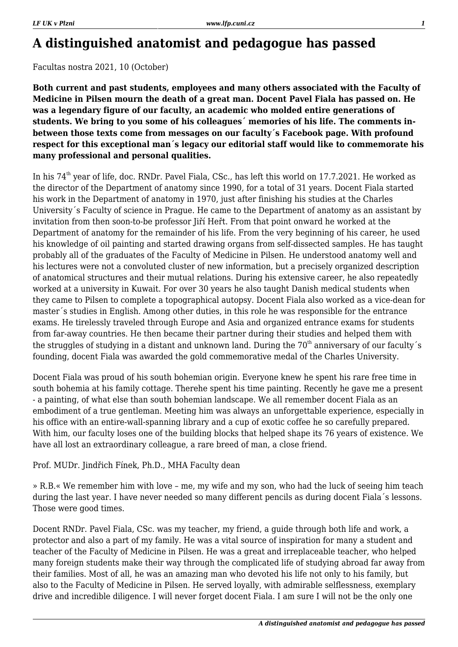# **A distinguished anatomist and pedagogue has passed**

Facultas nostra 2021, 10 (October)

**Both current and past students, employees and many others associated with the Faculty of Medicine in Pilsen mourn the death of a great man. Docent Pavel Fiala has passed on. He was a legendary figure of our faculty, an academic who molded entire generations of students. We bring to you some of his colleagues´ memories of his life. The comments inbetween those texts come from messages on our faculty´s Facebook page. With profound respect for this exceptional man´s legacy our editorial staff would like to commemorate his many professional and personal qualities.**

In his 74<sup>th</sup> year of life, doc. RNDr. Pavel Fiala, CSc., has left this world on 17.7.2021. He worked as the director of the Department of anatomy since 1990, for a total of 31 years. Docent Fiala started his work in the Department of anatomy in 1970, just after finishing his studies at the Charles University´s Faculty of science in Prague. He came to the Department of anatomy as an assistant by invitation from then soon-to-be professor Jiří Heřt. From that point onward he worked at the Department of anatomy for the remainder of his life. From the very beginning of his career, he used his knowledge of oil painting and started drawing organs from self-dissected samples. He has taught probably all of the graduates of the Faculty of Medicine in Pilsen. He understood anatomy well and his lectures were not a convoluted cluster of new information, but a precisely organized description of anatomical structures and their mutual relations. During his extensive career, he also repeatedly worked at a university in Kuwait. For over 30 years he also taught Danish medical students when they came to Pilsen to complete a topographical autopsy. Docent Fiala also worked as a vice-dean for master´s studies in English. Among other duties, in this role he was responsible for the entrance exams. He tirelessly traveled through Europe and Asia and organized entrance exams for students from far-away countries. He then became their partner during their studies and helped them with the struggles of studying in a distant and unknown land. During the 70<sup>th</sup> anniversary of our faculty's founding, docent Fiala was awarded the gold commemorative medal of the Charles University.

Docent Fiala was proud of his south bohemian origin. Everyone knew he spent his rare free time in south bohemia at his family cottage. Therehe spent his time painting. Recently he gave me a present - a painting, of what else than south bohemian landscape. We all remember docent Fiala as an embodiment of a true gentleman. Meeting him was always an unforgettable experience, especially in his office with an entire-wall-spanning library and a cup of exotic coffee he so carefully prepared. With him, our faculty loses one of the building blocks that helped shape its 76 years of existence. We have all lost an extraordinary colleague, a rare breed of man, a close friend.

# Prof. MUDr. Jindřich Fínek, Ph.D., MHA Faculty dean

» R.B.« We remember him with love – me, my wife and my son, who had the luck of seeing him teach during the last year. I have never needed so many different pencils as during docent Fiala´s lessons. Those were good times.

Docent RNDr. Pavel Fiala, CSc. was my teacher, my friend, a guide through both life and work, a protector and also a part of my family. He was a vital source of inspiration for many a student and teacher of the Faculty of Medicine in Pilsen. He was a great and irreplaceable teacher, who helped many foreign students make their way through the complicated life of studying abroad far away from their families. Most of all, he was an amazing man who devoted his life not only to his family, but also to the Faculty of Medicine in Pilsen. He served loyally, with admirable selflessness, exemplary drive and incredible diligence. I will never forget docent Fiala. I am sure I will not be the only one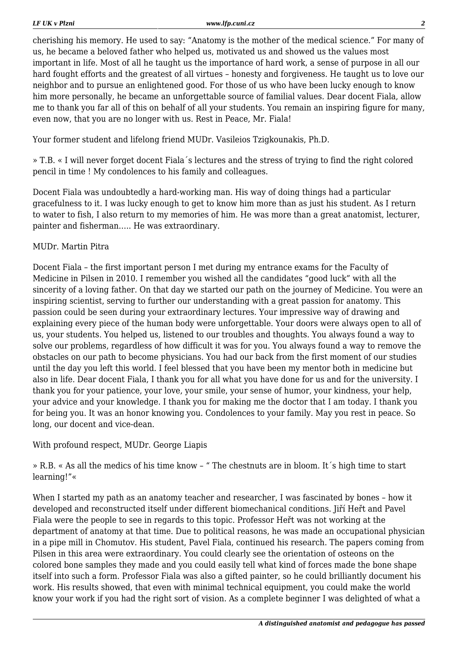cherishing his memory. He used to say: "Anatomy is the mother of the medical science." For many of us, he became a beloved father who helped us, motivated us and showed us the values most important in life. Most of all he taught us the importance of hard work, a sense of purpose in all our hard fought efforts and the greatest of all virtues – honesty and forgiveness. He taught us to love our neighbor and to pursue an enlightened good. For those of us who have been lucky enough to know him more personally, he became an unforgettable source of familial values. Dear docent Fiala, allow me to thank you far all of this on behalf of all your students. You remain an inspiring figure for many, even now, that you are no longer with us. Rest in Peace, Mr. Fiala!

Your former student and lifelong friend MUDr. Vasileios Tzigkounakis, Ph.D.

» T.B. « I will never forget docent Fiala´s lectures and the stress of trying to find the right colored pencil in time ! My condolences to his family and colleagues.

Docent Fiala was undoubtedly a hard-working man. His way of doing things had a particular gracefulness to it. I was lucky enough to get to know him more than as just his student. As I return to water to fish, I also return to my memories of him. He was more than a great anatomist, lecturer, painter and fisherman….. He was extraordinary.

### MUDr. Martin Pitra

Docent Fiala – the first important person I met during my entrance exams for the Faculty of Medicine in Pilsen in 2010. I remember you wished all the candidates "good luck" with all the sincerity of a loving father. On that day we started our path on the journey of Medicine. You were an inspiring scientist, serving to further our understanding with a great passion for anatomy. This passion could be seen during your extraordinary lectures. Your impressive way of drawing and explaining every piece of the human body were unforgettable. Your doors were always open to all of us, your students. You helped us, listened to our troubles and thoughts. You always found a way to solve our problems, regardless of how difficult it was for you. You always found a way to remove the obstacles on our path to become physicians. You had our back from the first moment of our studies until the day you left this world. I feel blessed that you have been my mentor both in medicine but also in life. Dear docent Fiala, I thank you for all what you have done for us and for the university. I thank you for your patience, your love, your smile, your sense of humor, your kindness, your help, your advice and your knowledge. I thank you for making me the doctor that I am today. I thank you for being you. It was an honor knowing you. Condolences to your family. May you rest in peace. So long, our docent and vice-dean.

With profound respect, MUDr. George Liapis

» R.B. « As all the medics of his time know – " The chestnuts are in bloom. It´s high time to start learning!"«

When I started my path as an anatomy teacher and researcher, I was fascinated by bones – how it developed and reconstructed itself under different biomechanical conditions. Jiří Heřt and Pavel Fiala were the people to see in regards to this topic. Professor Heřt was not working at the department of anatomy at that time. Due to political reasons, he was made an occupational physician in a pipe mill in Chomutov. His student, Pavel Fiala, continued his research. The papers coming from Pilsen in this area were extraordinary. You could clearly see the orientation of osteons on the colored bone samples they made and you could easily tell what kind of forces made the bone shape itself into such a form. Professor Fiala was also a gifted painter, so he could brilliantly document his work. His results showed, that even with minimal technical equipment, you could make the world know your work if you had the right sort of vision. As a complete beginner I was delighted of what a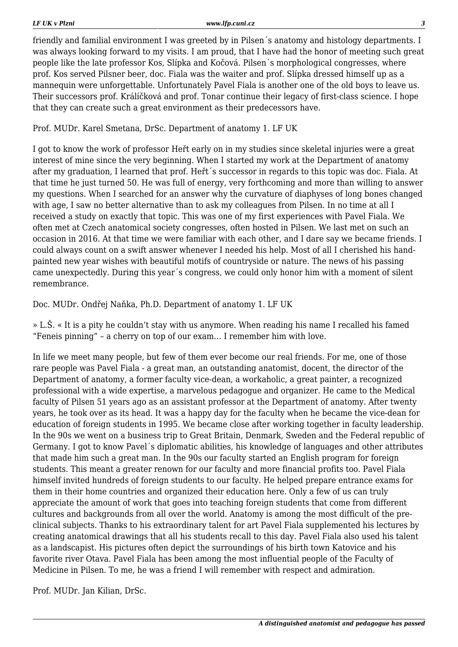friendly and familial environment I was greeted by in Pilsen´s anatomy and histology departments. I was always looking forward to my visits. I am proud, that I have had the honor of meeting such great people like the late professor Kos, Slípka and Kočová. Pilsen´s morphological congresses, where prof. Kos served Pilsner beer, doc. Fiala was the waiter and prof. Slípka dressed himself up as a mannequin were unforgettable. Unfortunately Pavel Fiala is another one of the old boys to leave us. Their successors prof. Králíčková and prof. Tonar continue their legacy of first-class science. I hope that they can create such a great environment as their predecessors have.

#### Prof. MUDr. Karel Smetana, DrSc. Department of anatomy 1. LF UK

I got to know the work of professor Heřt early on in my studies since skeletal injuries were a great interest of mine since the very beginning. When I started my work at the Department of anatomy after my graduation, I learned that prof. Heřt´s successor in regards to this topic was doc. Fiala. At that time he just turned 50. He was full of energy, very forthcoming and more than willing to answer my questions. When I searched for an answer why the curvature of diaphyses of long bones changed with age, I saw no better alternative than to ask my colleagues from Pilsen. In no time at all I received a study on exactly that topic. This was one of my first experiences with Pavel Fiala. We often met at Czech anatomical society congresses, often hosted in Pilsen. We last met on such an occasion in 2016. At that time we were familiar with each other, and I dare say we became friends. I could always count on a swift answer whenever I needed his help. Most of all I cherished his handpainted new year wishes with beautiful motifs of countryside or nature. The news of his passing came unexpectedly. During this year´s congress, we could only honor him with a moment of silent remembrance.

#### Doc. MUDr. Ondřej Naňka, Ph.D. Department of anatomy 1. LF UK

» L.Š. « It is a pity he couldn't stay with us anymore. When reading his name I recalled his famed "Feneis pinning" – a cherry on top of our exam… I remember him with love.

In life we meet many people, but few of them ever become our real friends. For me, one of those rare people was Pavel Fiala - a great man, an outstanding anatomist, docent, the director of the Department of anatomy, a former faculty vice-dean, a workaholic, a great painter, a recognized professional with a wide expertise, a marvelous pedagogue and organizer. He came to the Medical faculty of Pilsen 51 years ago as an assistant professor at the Department of anatomy. After twenty years, he took over as its head. It was a happy day for the faculty when he became the vice-dean for education of foreign students in 1995. We became close after working together in faculty leadership. In the 90s we went on a business trip to Great Britain, Denmark, Sweden and the Federal republic of Germany. I got to know Pavel´s diplomatic abilities, his knowledge of languages and other attributes that made him such a great man. In the 90s our faculty started an English program for foreign students. This meant a greater renown for our faculty and more financial profits too. Pavel Fiala himself invited hundreds of foreign students to our faculty. He helped prepare entrance exams for them in their home countries and organized their education here. Only a few of us can truly appreciate the amount of work that goes into teaching foreign students that come from different cultures and backgrounds from all over the world. Anatomy is among the most difficult of the preclinical subjects. Thanks to his extraordinary talent for art Pavel Fiala supplemented his lectures by creating anatomical drawings that all his students recall to this day. Pavel Fiala also used his talent as a landscapist. His pictures often depict the surroundings of his birth town Katovice and his favorite river Otava. Pavel Fiala has been among the most influential people of the Faculty of Medicine in Pilsen. To me, he was a friend I will remember with respect and admiration.

Prof. MUDr. Jan Kilian, DrSc.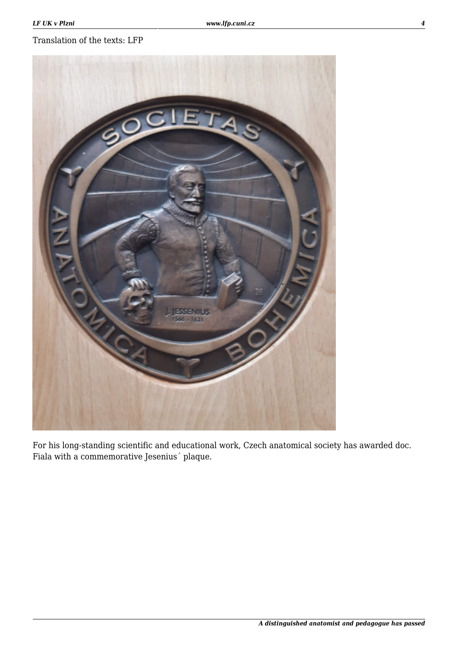## Translation of the texts: LFP



For his long-standing scientific and educational work, Czech anatomical society has awarded doc. Fiala with a commemorative Jesenius´ plaque.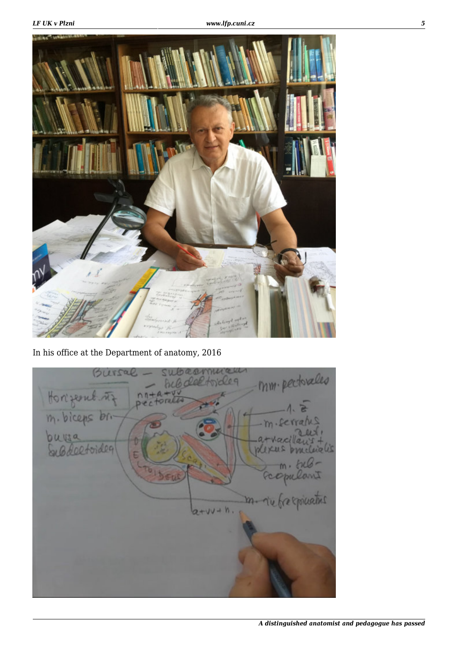

In his office at the Department of anatomy, 2016

mm. pectorales Bursal q Horzent riz  $0 + V$  $n$ torell  $Dec$ m. biceps br. **Uto** loefoideg  $2.01$ 265 opulant expiration m.  $a+uv+h$ .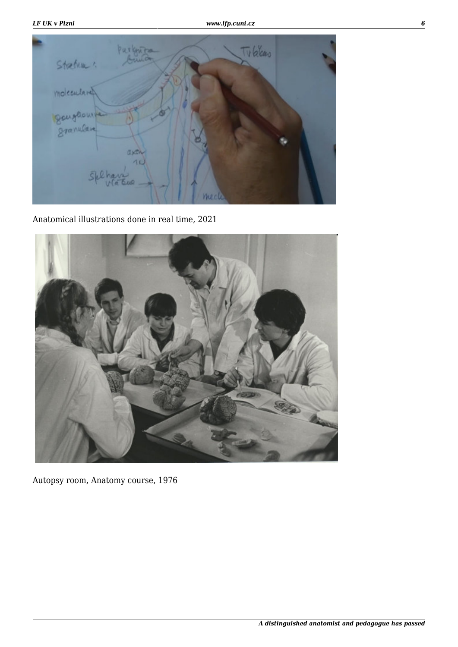| Stretum "   | Purknits   | Tubleas |  |
|-------------|------------|---------|--|
| moleculared |            |         |  |
| gougeouve   |            |         |  |
| Splhar      | axon<br>10 |         |  |

Anatomical illustrations done in real time, 2021



Autopsy room, Anatomy course, 1976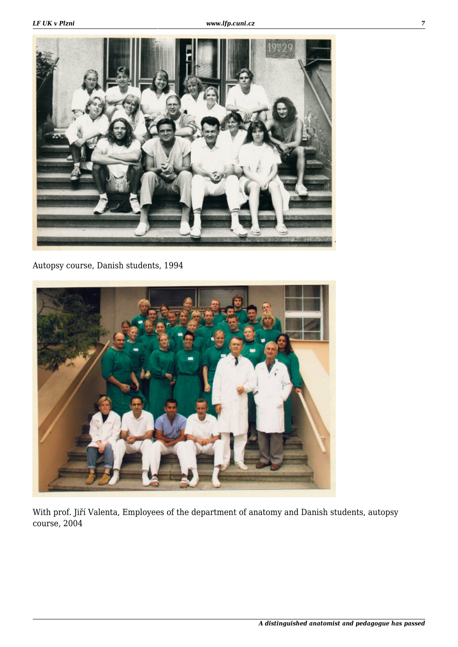

Autopsy course, Danish students, 1994



With prof. Jiří Valenta, Employees of the department of anatomy and Danish students, autopsy course, 2004